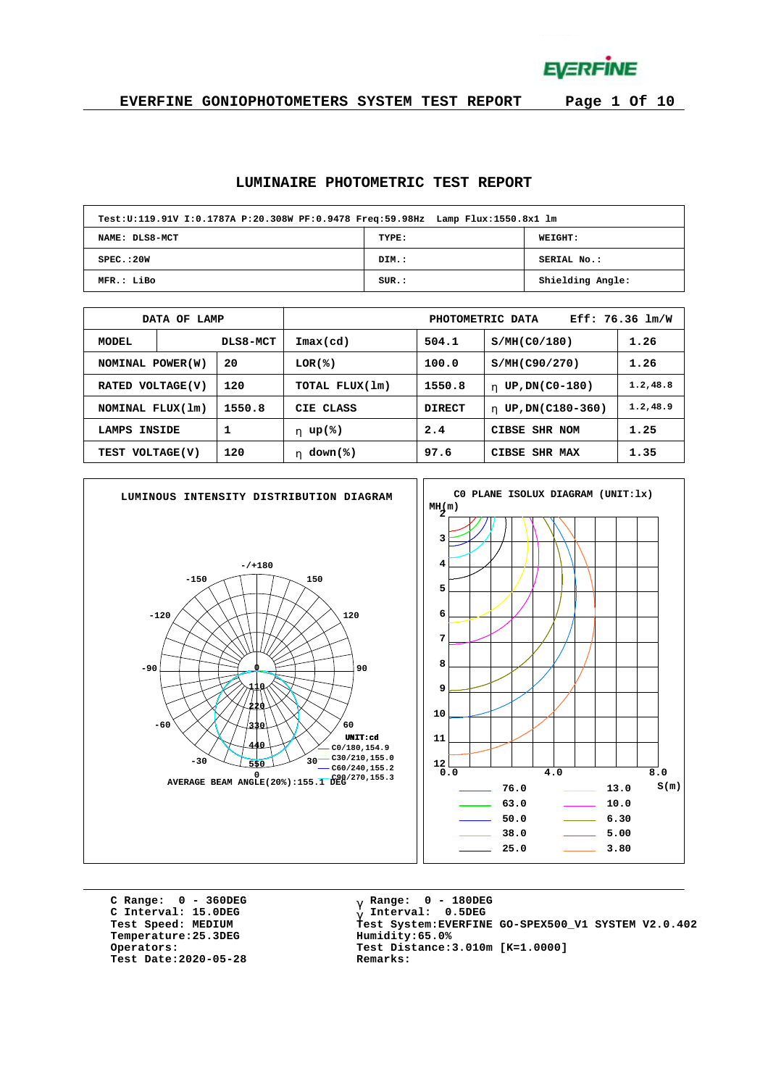**EVERFINE** 

**EVERFINE GONIOPHOTOMETERS SYSTEM TEST REPORT Page 1 Of 10**

#### **LUMINAIRE PHOTOMETRIC TEST REPORT**

| Test:U:119.91V I:0.1787A P:20.308W PF:0.9478 Freq:59.98Hz Lamp Flux:1550.8x1 lm |       |                  |
|---------------------------------------------------------------------------------|-------|------------------|
| NAME: DLS8-MCT                                                                  | TYPE: | WEIGHT:          |
| SPEC.:20W                                                                       | DIM.: | SERIAL No.:      |
| MFR.: LiBo                                                                      | SUR.: | Shielding Angle: |

|                        | DATA OF LAMP |          | Eff: 76.36 lm/W<br>PHOTOMETRIC DATA |               |                        |           |  |  |  |  |  |  |
|------------------------|--------------|----------|-------------------------------------|---------------|------------------------|-----------|--|--|--|--|--|--|
| <b>MODEL</b>           |              | DLS8-MCT | $\texttt{Imax}(\text{cd})$          | 504.1         | S/MH(C0/180)           | 1.26      |  |  |  |  |  |  |
| NOMINAL POWER(W)       |              | 20       | LOR(%)                              | 100.0         | S/MH(C90/270)          | 1.26      |  |  |  |  |  |  |
| RATED VOLTAGE(V)       |              | 120      | TOTAL FLUX(1m)                      | 1550.8        | UP, DN(C0-180)<br>h.   | 1.2, 48.8 |  |  |  |  |  |  |
| NOMINAL FLUX(1m)       |              | 1550.8   | CIE CLASS                           | <b>DIRECT</b> | UP, DN(C180-360)<br>h. | 1.2, 48.9 |  |  |  |  |  |  |
| <b>INSIDE</b><br>LAMPS |              | 1        | h $up$ (%)                          | 2.4           | CIBSE SHR NOM          | 1.25      |  |  |  |  |  |  |
| 120<br>TEST VOLTAGE(V) |              |          | $down$ (%)<br>h.                    | 97.6          | CIBSE SHR MAX          | 1.35      |  |  |  |  |  |  |



**C Range: 0 - 360DEG C Interval: 15.0DEG**  $Temperature:25.3DEG$ **Test Date:2020-05-28 Remarks:**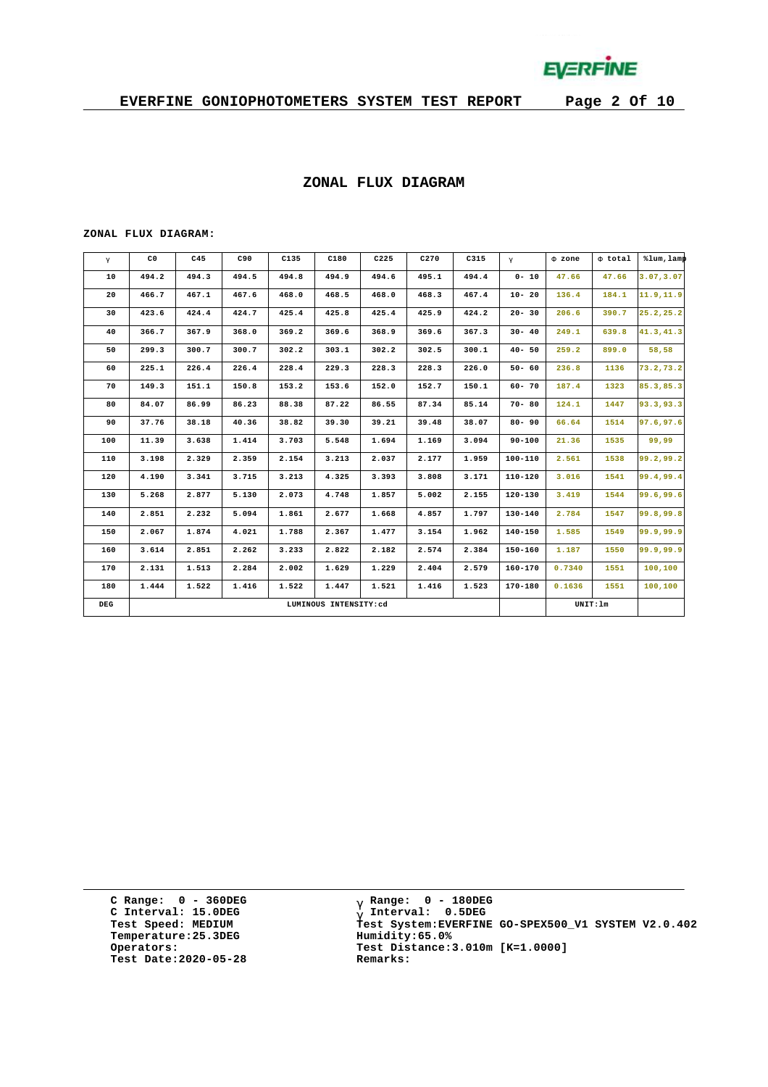

#### **ZONAL FLUX DIAGRAM**

#### **ZONAL FLUX DIAGRAM:**

| $\mathbf{g}$ | C <sub>0</sub> | C45   | C90   | C135  | C180                  | C225  | C270  | C315  | $\mathsf{q}$ | F zone | F total  | %lum, lamp |
|--------------|----------------|-------|-------|-------|-----------------------|-------|-------|-------|--------------|--------|----------|------------|
| 10           | 494.2          | 494.3 | 494.5 | 494.8 | 494.9                 | 494.6 | 495.1 | 494.4 | $0 - 10$     | 47.66  | 47.66    | 3.07, 3.07 |
| 20           | 466.7          | 467.1 | 467.6 | 468.0 | 468.5                 | 468.0 | 468.3 | 467.4 | $10 - 20$    | 136.4  | 184.1    | 11.9, 11.9 |
| 30           | 423.6          | 424.4 | 424.7 | 425.4 | 425.8                 | 425.4 | 425.9 | 424.2 | $20 - 30$    | 206.6  | 390.7    | 25.2, 25.2 |
| 40           | 366.7          | 367.9 | 368.0 | 369.2 | 369.6                 | 368.9 | 369.6 | 367.3 | $30 - 40$    | 249.1  | 639.8    | 41.3,41.3  |
| 50           | 299.3          | 300.7 | 300.7 | 302.2 | 303.1                 | 302.2 | 302.5 | 300.1 | $40 - 50$    | 259.2  | 899.0    | 58,58      |
| 60           | 225.1          | 226.4 | 226.4 | 228.4 | 229.3                 | 228.3 | 228.3 | 226.0 | $50 - 60$    | 236.8  | 1136     | 73.2,73.2  |
| 70           | 149.3          | 151.1 | 150.8 | 153.2 | 153.6                 | 152.0 | 152.7 | 150.1 | $60 - 70$    | 187.4  | 1323     | 85.3,85.3  |
| 80           | 84.07          | 86.99 | 86.23 | 88.38 | 87.22                 | 86.55 | 87.34 | 85.14 | $70 - 80$    | 124.1  | 1447     | 93.3,93.3  |
| 90           | 37.76          | 38.18 | 40.36 | 38.82 | 39.30                 | 39.21 | 39.48 | 38.07 | $80 - 90$    | 66.64  | 1514     | 97.6,97.6  |
| 100          | 11.39          | 3.638 | 1.414 | 3.703 | 5.548                 | 1.694 | 1.169 | 3.094 | $90 - 100$   | 21.36  | 1535     | 99,99      |
| 110          | 3.198          | 2.329 | 2.359 | 2.154 | 3.213                 | 2.037 | 2.177 | 1.959 | 100-110      | 2.561  | 1538     | 99.2,99.2  |
| 120          | 4.190          | 3.341 | 3.715 | 3.213 | 4.325                 | 3.393 | 3.808 | 3.171 | $110 - 120$  | 3.016  | 1541     | 99.4,99.4  |
| 130          | 5.268          | 2.877 | 5.130 | 2.073 | 4.748                 | 1.857 | 5.002 | 2.155 | 120-130      | 3.419  | 1544     | 99.6,99.6  |
| 140          | 2.851          | 2.232 | 5.094 | 1.861 | 2.677                 | 1.668 | 4.857 | 1.797 | 130-140      | 2.784  | 1547     | 99.8,99.8  |
| 150          | 2.067          | 1.874 | 4.021 | 1.788 | 2.367                 | 1.477 | 3.154 | 1.962 | $140 - 150$  | 1.585  | 1549     | 99.9,99.9  |
| 160          | 3.614          | 2.851 | 2.262 | 3.233 | 2.822                 | 2.182 | 2.574 | 2.384 | $150 - 160$  | 1.187  | 1550     | 99.9.99.9  |
| 170          | 2.131          | 1.513 | 2.284 | 2.002 | 1.629                 | 1,229 | 2.404 | 2.579 | $160 - 170$  | 0.7340 | 1551     | 100,100    |
| 180          | 1.444          | 1.522 | 1.416 | 1.522 | 1.447                 | 1.521 | 1.416 | 1.523 | $170 - 180$  | 0.1636 | 1551     | 100,100    |
| DEG          |                |       |       |       | LUMINOUS INTENSITY:cd |       |       |       |              |        | UNIT: 1m |            |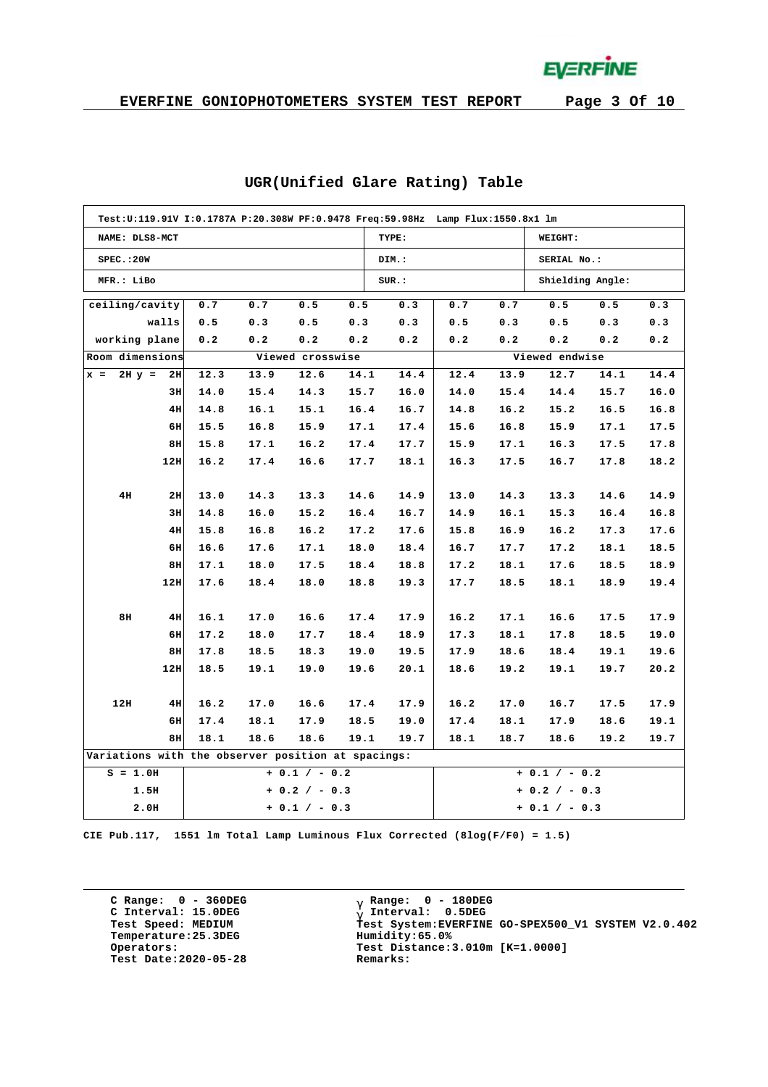**EVERFINE** 

|                                                    | Test:U:119.91V I:0.1787A P:20.308W PF:0.9478 Freq:59.98Hz Lamp Flux:1550.8x1 lm |      |      |                  |      |       |                |      |                  |      |      |  |  |  |
|----------------------------------------------------|---------------------------------------------------------------------------------|------|------|------------------|------|-------|----------------|------|------------------|------|------|--|--|--|
| NAME: DLS8-MCT                                     |                                                                                 |      |      |                  |      | TYPE: |                |      | WEIGHT:          |      |      |  |  |  |
| SPEC.:20W                                          |                                                                                 |      |      |                  |      | DIM.: |                |      | SERIAL No.:      |      |      |  |  |  |
| MFR.: LiBo                                         |                                                                                 |      |      |                  |      | SUR.: |                |      | Shielding Angle: |      |      |  |  |  |
| ceiling/cavity                                     |                                                                                 | 0.7  | 0.7  | 0.5              | 0.5  | 0.3   | 0.7            | 0.7  | 0.5              | 0.5  | 0.3  |  |  |  |
|                                                    | walls                                                                           | 0.5  | 0.3  | 0.5              | 0.3  | 0.3   | 0.5            | 0.3  | 0.5              | 0.3  | 0.3  |  |  |  |
| working plane                                      |                                                                                 | 0.2  | 0.2  | 0.2              | 0.2  | 0.2   | 0.2            | 0.2  | 0.2              | 0.2  | 0.2  |  |  |  |
| Room dimensions                                    |                                                                                 |      |      | Viewed crosswise |      |       | Viewed endwise |      |                  |      |      |  |  |  |
| $2H y = 2H$<br>$x =$                               |                                                                                 | 12.3 | 13.9 | 12.6             | 14.1 | 14.4  | 12.4           | 13.9 | 12.7             | 14.1 | 14.4 |  |  |  |
|                                                    | 3H                                                                              | 14.0 | 15.4 | 14.3             | 15.7 | 16.0  | 14.0           | 15.4 | 14.4             | 15.7 | 16.0 |  |  |  |
|                                                    | 4H                                                                              | 14.8 | 16.1 | 15.1             | 16.4 | 16.7  | 14.8           | 16.2 | 15.2             | 16.5 | 16.8 |  |  |  |
|                                                    | 6H                                                                              | 15.5 | 16.8 | 15.9             | 17.1 | 17.4  | 15.6           | 16.8 | 15.9             | 17.1 | 17.5 |  |  |  |
|                                                    | 8H                                                                              | 15.8 | 17.1 | 16.2             | 17.4 | 17.7  | 15.9           | 17.1 | 16.3             | 17.5 | 17.8 |  |  |  |
|                                                    | 12H                                                                             | 16.2 | 17.4 | 16.6             | 17.7 | 18.1  | 16.3           | 17.5 | 16.7             | 17.8 | 18.2 |  |  |  |
|                                                    |                                                                                 |      |      |                  |      |       |                |      |                  |      |      |  |  |  |
| 4H                                                 | 2H                                                                              | 13.0 | 14.3 | 13.3             | 14.6 | 14.9  | 13.0           | 14.3 | 13.3             | 14.6 | 14.9 |  |  |  |
|                                                    | 3H                                                                              | 14.8 | 16.0 | 15.2             | 16.4 | 16.7  | 14.9           | 16.1 | 15.3             | 16.4 | 16.8 |  |  |  |
|                                                    | 4H                                                                              | 15.8 | 16.8 | 16.2             | 17.2 | 17.6  | 15.8           | 16.9 | 16.2             | 17.3 | 17.6 |  |  |  |
|                                                    | 6H                                                                              | 16.6 | 17.6 | 17.1             | 18.0 | 18.4  | 16.7           | 17.7 | 17.2             | 18.1 | 18.5 |  |  |  |
|                                                    | 8H                                                                              | 17.1 | 18.0 | 17.5             | 18.4 | 18.8  | 17.2           | 18.1 | 17.6             | 18.5 | 18.9 |  |  |  |
|                                                    | 12H                                                                             | 17.6 | 18.4 | 18.0             | 18.8 | 19.3  | 17.7           | 18.5 | 18.1             | 18.9 | 19.4 |  |  |  |
|                                                    |                                                                                 |      |      |                  |      |       |                |      |                  |      |      |  |  |  |
| 8H                                                 | 4H                                                                              | 16.1 | 17.0 | 16.6             | 17.4 | 17.9  | 16.2           | 17.1 | 16.6             | 17.5 | 17.9 |  |  |  |
|                                                    | 6H                                                                              | 17.2 | 18.0 | 17.7             | 18.4 | 18.9  | 17.3           | 18.1 | 17.8             | 18.5 | 19.0 |  |  |  |
|                                                    | 8H                                                                              | 17.8 | 18.5 | 18.3             | 19.0 | 19.5  | 17.9           | 18.6 | 18.4             | 19.1 | 19.6 |  |  |  |
|                                                    | 12H                                                                             | 18.5 | 19.1 | 19.0             | 19.6 | 20.1  | 18.6           | 19.2 | 19.1             | 19.7 | 20.2 |  |  |  |
|                                                    |                                                                                 |      |      |                  |      |       |                |      |                  |      |      |  |  |  |
| 12H                                                | 4H                                                                              | 16.2 | 17.0 | 16.6             | 17.4 | 17.9  | 16.2           | 17.0 | 16.7             | 17.5 | 17.9 |  |  |  |
|                                                    | 6H                                                                              | 17.4 | 18.1 | 17.9             | 18.5 | 19.0  | 17.4           | 18.1 | 17.9             | 18.6 | 19.1 |  |  |  |
|                                                    | 8H                                                                              | 18.1 | 18.6 | 18.6             | 19.1 | 19.7  | 18.1           | 18.7 | 18.6             | 19.2 | 19.7 |  |  |  |
| Variations with the observer position at spacings: |                                                                                 |      |      |                  |      |       |                |      |                  |      |      |  |  |  |
| $S = 1.0H$                                         |                                                                                 |      |      | $+ 0.1 / - 0.2$  |      |       |                |      | $+ 0.1 / - 0.2$  |      |      |  |  |  |
| 1.5H                                               |                                                                                 |      |      | $+ 0.2 / - 0.3$  |      |       |                |      | $+ 0.2 / - 0.3$  |      |      |  |  |  |
| 2.0H                                               |                                                                                 |      |      | $+ 0.1 / - 0.3$  |      |       |                |      | $+ 0.1 / - 0.3$  |      |      |  |  |  |

### **UGR(Unified Glare Rating) Table**

**CIE Pub.117, 1551 lm Total Lamp Luminous Flux Corrected (8log(F/F0) = 1.5)**

**C Range: 0 - 360DEG C Interval: 15.0DEG Temperature:25.3DEG Humidity:65.0% Test Date:2020-05-28 Remarks:**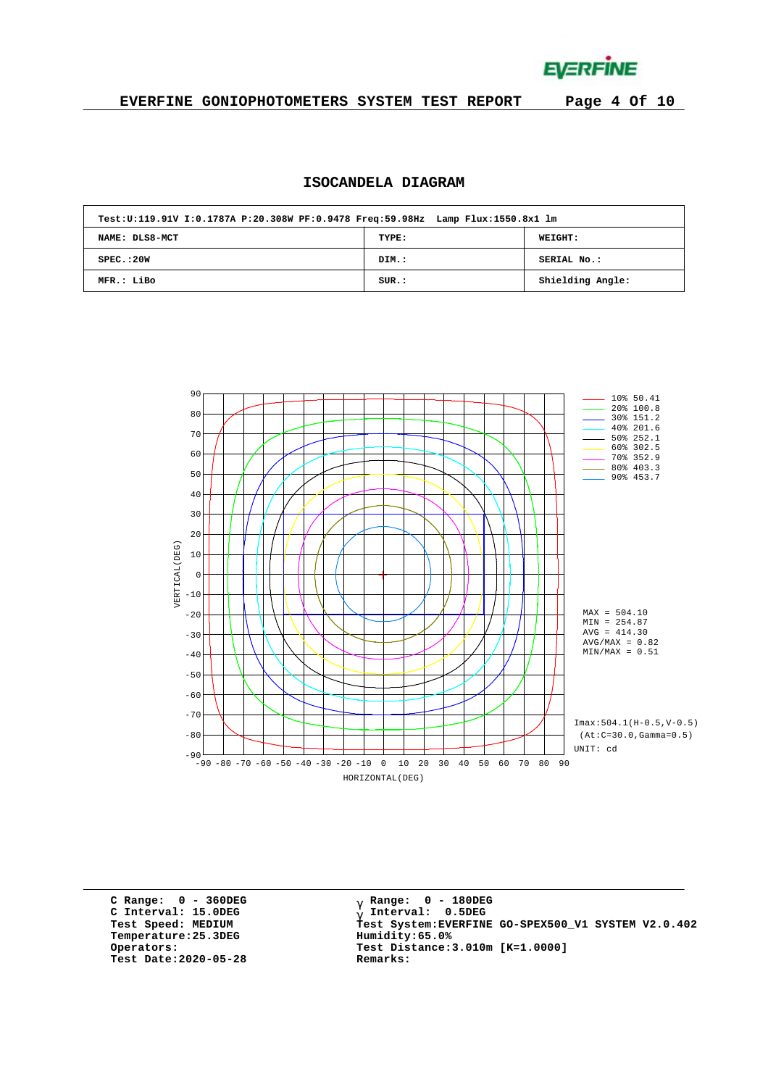**EVERFINE** 

### **EVERFINE GONIOPHOTOMETERS SYSTEM TEST REPORT Page 4 Of 10**

### **ISOCANDELA DIAGRAM**

| Test:U:119.91V I:0.1787A P:20.308W PF:0.9478 Freq:59.98Hz Lamp Flux:1550.8x1 lm |       |                  |
|---------------------------------------------------------------------------------|-------|------------------|
| NAME: DLS8-MCT                                                                  | TYPE: | <b>WEIGHT:</b>   |
| SPEC. : 20W                                                                     | DIM.: | SERIAL No.:      |
| MFR.: LiBo                                                                      | SUR.: | Shielding Angle: |



**C Range: 0 - 360DEG C Interval: 15.0DEG Temperature:25.3DEG Humidity:65.0% Test Date:2020-05-28 Remarks:**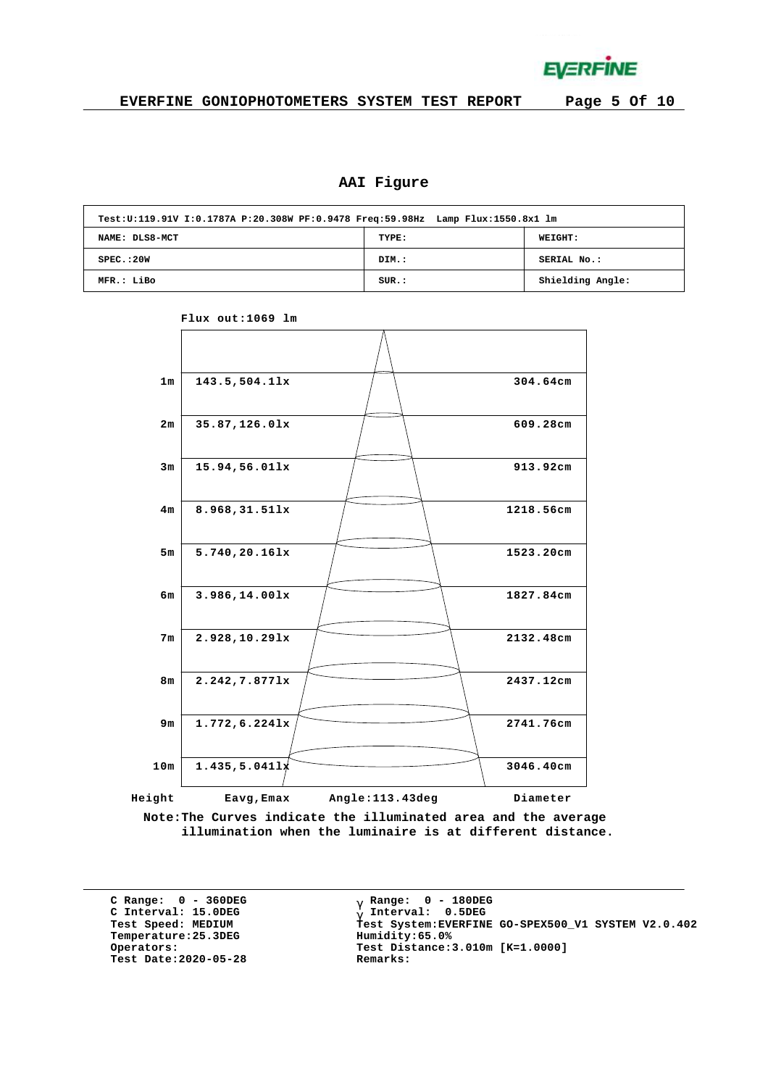

## **AAI Figure**

|                | Test:U:119.91V I:0.1787A P:20.308W PF:0.9478 Freq:59.98Hz Lamp Flux:1550.8x1 lm |                  |  |  |  |  |  |  |  |  |  |  |
|----------------|---------------------------------------------------------------------------------|------------------|--|--|--|--|--|--|--|--|--|--|
| NAME: DLS8-MCT | TYPE:                                                                           | <b>WEIGHT:</b>   |  |  |  |  |  |  |  |  |  |  |
| SPEC. : 20W    | DIM.:                                                                           | SERIAL No.:      |  |  |  |  |  |  |  |  |  |  |
| MFR.: LiBo     | SUR.:                                                                           | Shielding Angle: |  |  |  |  |  |  |  |  |  |  |



**Flux out:1069 lm**

**Note:The Curves indicate the illuminated area and the average illumination when the luminaire is at different distance.**

**C Range: 0 - 360DEG C Interval: 15.0DEG**  $Temperature:25.3DEG$ **Test Date:2020-05-28 Remarks:**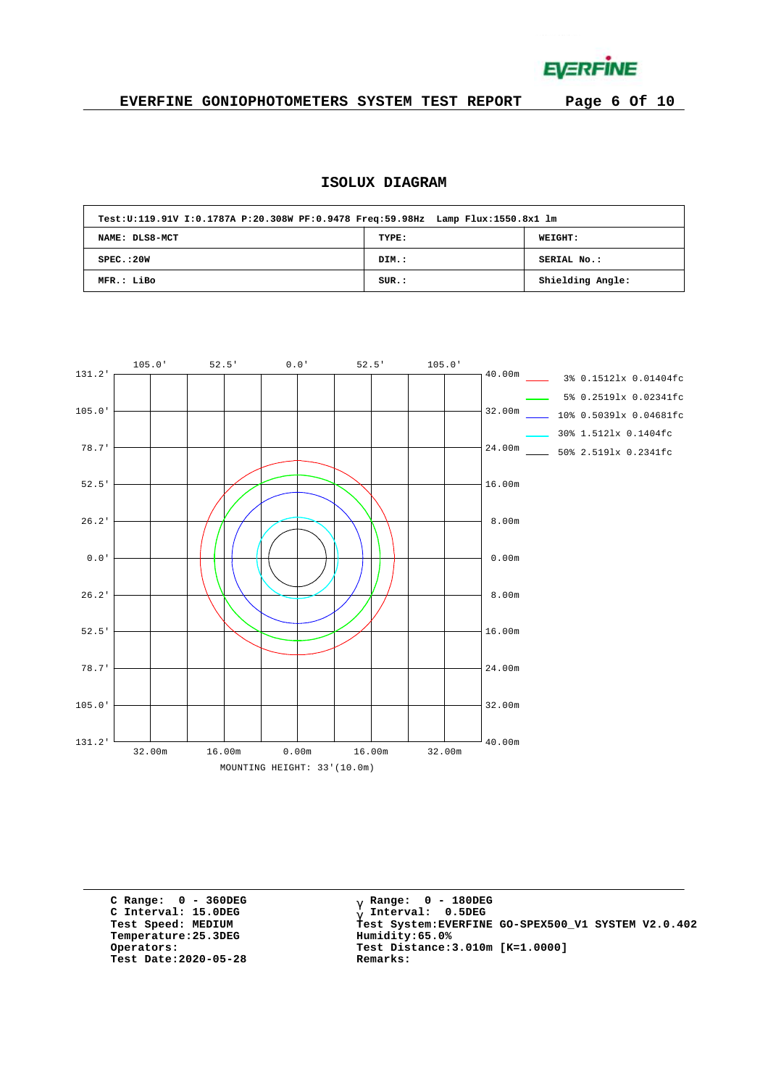**EVERFINE** 

### **EVERFINE GONIOPHOTOMETERS SYSTEM TEST REPORT Page 6 Of 10**

### **ISOLUX DIAGRAM**

| Test:U:119.91V I:0.1787A P:20.308W PF:0.9478 Freq:59.98Hz Lamp Flux:1550.8x1 lm |       |                  |
|---------------------------------------------------------------------------------|-------|------------------|
| NAME: DLS8-MCT                                                                  | TYPE: | WEIGHT:          |
| SPEC. : 20W                                                                     | DIM.: | SERIAL No.:      |
| MFR.: LiBo                                                                      | SUR.: | Shielding Angle: |



**C Range: 0 - 360DEG C Interval: 15.0DEG**  $Temperature:25.3DEG$ **Test Date:2020-05-28 Remarks:**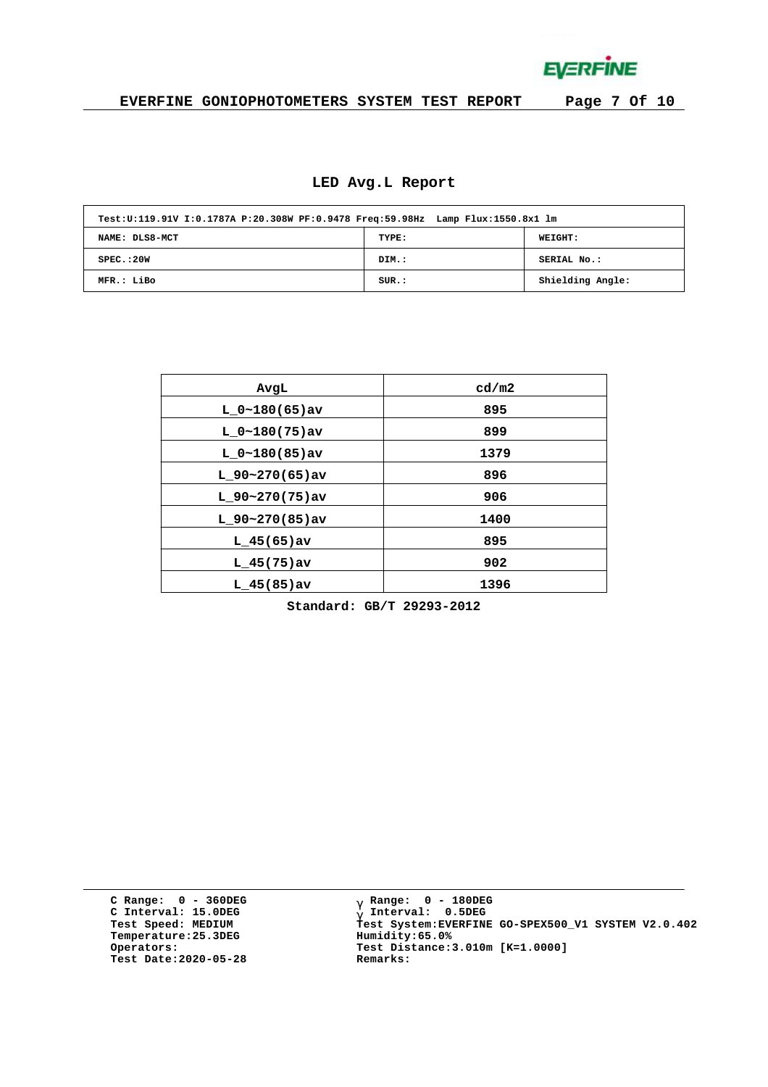**EVERFINE** 

### **EVERFINE GONIOPHOTOMETERS SYSTEM TEST REPORT Page 7 Of 10**

#### **LED Avg.L Report**

| Test:U:119.91V I:0.1787A P:20.308W PF:0.9478 Freq:59.98Hz Lamp Flux:1550.8x1 lm |       |                  |
|---------------------------------------------------------------------------------|-------|------------------|
| NAME: DLS8-MCT                                                                  | TYPE: | <b>WEIGHT:</b>   |
| SPEC. : 20W                                                                     | DIM.: | SERIAL No.:      |
| MFR.: LiBo                                                                      | SUR.: | Shielding Angle: |

| AvgL             | cd/m2 |
|------------------|-------|
| $L_0~180(65)$ av | 895   |
| $L_0~180(75)$ av | 899   |
| $L 0~180(85)$ av | 1379  |
| $L$ 90~270(65)av | 896   |
| $L$ 90~270(75)av | 906   |
| $L$ 90~270(85)av | 1400  |
| $L$ 45(65) av    | 895   |
| $L$ 45(75) av    | 902   |
| $L$ 45(85)av     | 1396  |

**Standard: GB/T 29293-2012**

**C Range: 0 - 360DEG C Interval: 15.0DEG Temperature:25.3DEG Humidity:65.0% Test Date:2020-05-28 Remarks:**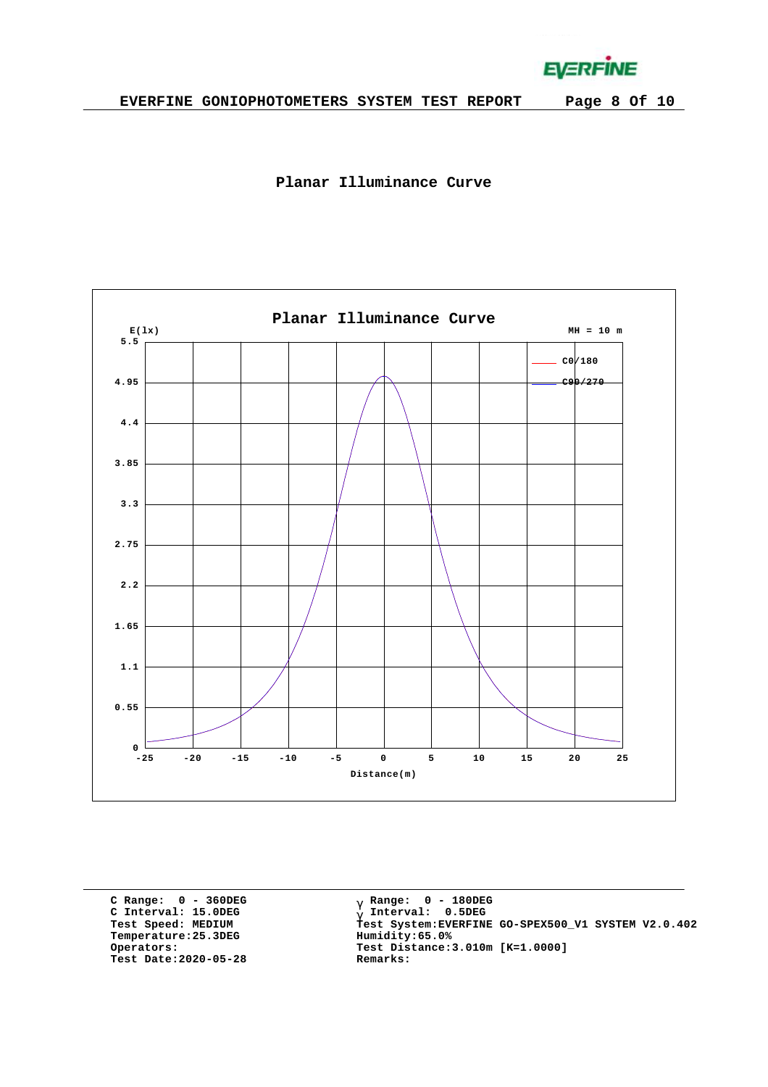**EVERFINE** 





**C Range: 0 - 360DEG C Interval: 15.0DEG Temperature:25.3DEG Humidity:65.0% Test Date:2020-05-28 Remarks:**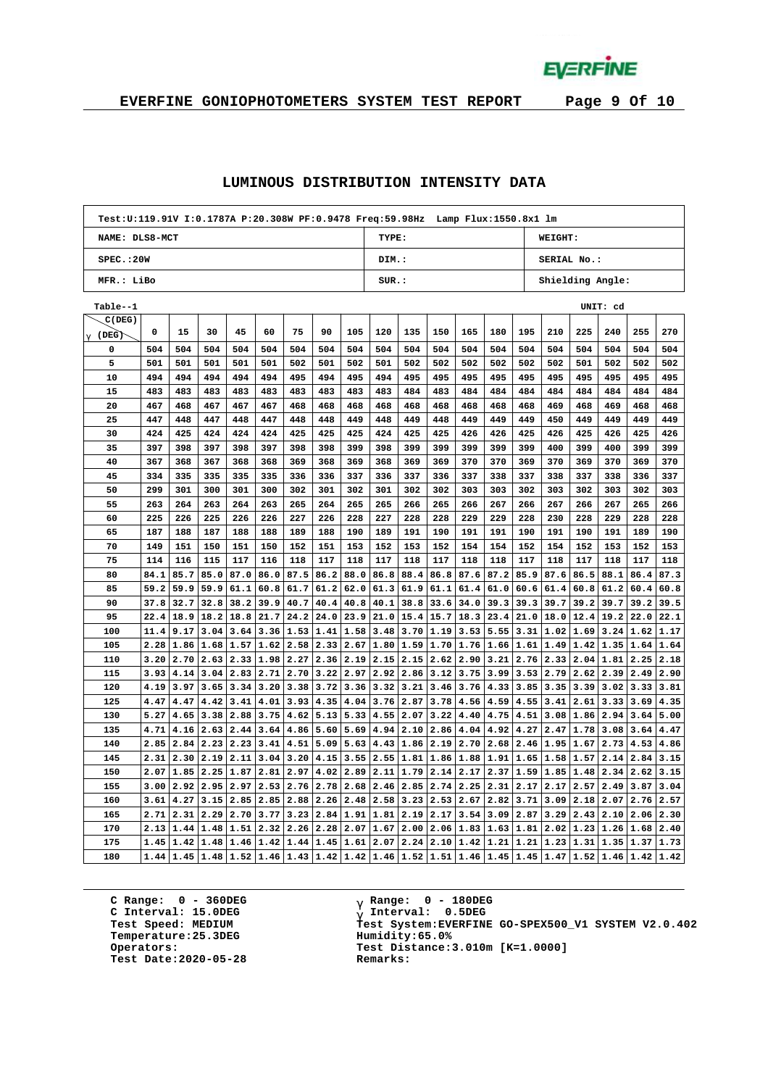**EVERFINE** 

# **EVERFINE GONIOPHOTOMETERS SYSTEM TEST REPORT Page 9 Of 10**

#### **LUMINOUS DISTRIBUTION INTENSITY DATA**

| TYPE:<br>WEIGHT:<br>NAME: DLS8-MCT<br>SPEC.:20W<br>SERIAL No.:<br>DIM.:<br>MFR.: LiBo<br>SUR.:<br>Shielding Angle:<br>Table--1<br>UNIT: cd<br>C(DEG)<br>270<br>0<br>15<br>30<br>45<br>60<br>75<br>90<br>105<br>120<br>135<br>150<br>165<br>180<br>195<br>210<br>225<br>240<br>255<br>$g(\texttt{DEG})$<br>0<br>504<br>504<br>504<br>504<br>504<br>504<br>504<br>504<br>504<br>504<br>504<br>504<br>504<br>504<br>504<br>504<br>504<br>504<br>504<br>5<br>501<br>501<br>501<br>501<br>502<br>501<br>502<br>501<br>502<br>502<br>502<br>502<br>502<br>502<br>501<br>502<br>502<br>502<br>501<br>10<br>494<br>494<br>494<br>494<br>494<br>495<br>494<br>495<br>494<br>495<br>495<br>495<br>495<br>495<br>495<br>495<br>495<br>495<br>495<br>15<br>483<br>483<br>483<br>483<br>483<br>483<br>483<br>483<br>483<br>484<br>483<br>484<br>484<br>484<br>484<br>484<br>484<br>484<br>484<br>20<br>467<br>468<br>467<br>467<br>467<br>468<br>468<br>468<br>468<br>468<br>469<br>468<br>468<br>468<br>468<br>468<br>468<br>469<br>468<br>447<br>448<br>447<br>447<br>448<br>449<br>448<br>448<br>449<br>449<br>450<br>449<br>449<br>25<br>448<br>448<br>449<br>449<br>449<br>449<br>425<br>425<br>426<br>30<br>424<br>424<br>424<br>424<br>425<br>425<br>425<br>424<br>425<br>426<br>426<br>425<br>426<br>425<br>426<br>425<br>397<br>397<br>399<br>35<br>398<br>397<br>398<br>398<br>398<br>399<br>398<br>399<br>399<br>399<br>399<br>400<br>399<br>400<br>399<br>399<br>40<br>367<br>368<br>367<br>368<br>368<br>369<br>368<br>369<br>368<br>369<br>369<br>370<br>370<br>369<br>370<br>369<br>370<br>369<br>370 |    | Test:U:119.91V I:0.1787A P:20.308W PF:0.9478 Freq:59.98Hz Lamp Flux:1550.8x1 lm |     |     |     |     |     |     |     |     |     |     |     |     |     |     |     |     |     |     |
|---------------------------------------------------------------------------------------------------------------------------------------------------------------------------------------------------------------------------------------------------------------------------------------------------------------------------------------------------------------------------------------------------------------------------------------------------------------------------------------------------------------------------------------------------------------------------------------------------------------------------------------------------------------------------------------------------------------------------------------------------------------------------------------------------------------------------------------------------------------------------------------------------------------------------------------------------------------------------------------------------------------------------------------------------------------------------------------------------------------------------------------------------------------------------------------------------------------------------------------------------------------------------------------------------------------------------------------------------------------------------------------------------------------------------------------------------------------------------------------------------------------------------------------------------------------------------------------------------------|----|---------------------------------------------------------------------------------|-----|-----|-----|-----|-----|-----|-----|-----|-----|-----|-----|-----|-----|-----|-----|-----|-----|-----|
|                                                                                                                                                                                                                                                                                                                                                                                                                                                                                                                                                                                                                                                                                                                                                                                                                                                                                                                                                                                                                                                                                                                                                                                                                                                                                                                                                                                                                                                                                                                                                                                                         |    |                                                                                 |     |     |     |     |     |     |     |     |     |     |     |     |     |     |     |     |     |     |
|                                                                                                                                                                                                                                                                                                                                                                                                                                                                                                                                                                                                                                                                                                                                                                                                                                                                                                                                                                                                                                                                                                                                                                                                                                                                                                                                                                                                                                                                                                                                                                                                         |    |                                                                                 |     |     |     |     |     |     |     |     |     |     |     |     |     |     |     |     |     |     |
|                                                                                                                                                                                                                                                                                                                                                                                                                                                                                                                                                                                                                                                                                                                                                                                                                                                                                                                                                                                                                                                                                                                                                                                                                                                                                                                                                                                                                                                                                                                                                                                                         |    |                                                                                 |     |     |     |     |     |     |     |     |     |     |     |     |     |     |     |     |     |     |
|                                                                                                                                                                                                                                                                                                                                                                                                                                                                                                                                                                                                                                                                                                                                                                                                                                                                                                                                                                                                                                                                                                                                                                                                                                                                                                                                                                                                                                                                                                                                                                                                         |    |                                                                                 |     |     |     |     |     |     |     |     |     |     |     |     |     |     |     |     |     |     |
|                                                                                                                                                                                                                                                                                                                                                                                                                                                                                                                                                                                                                                                                                                                                                                                                                                                                                                                                                                                                                                                                                                                                                                                                                                                                                                                                                                                                                                                                                                                                                                                                         |    |                                                                                 |     |     |     |     |     |     |     |     |     |     |     |     |     |     |     |     |     |     |
|                                                                                                                                                                                                                                                                                                                                                                                                                                                                                                                                                                                                                                                                                                                                                                                                                                                                                                                                                                                                                                                                                                                                                                                                                                                                                                                                                                                                                                                                                                                                                                                                         |    |                                                                                 |     |     |     |     |     |     |     |     |     |     |     |     |     |     |     |     |     |     |
|                                                                                                                                                                                                                                                                                                                                                                                                                                                                                                                                                                                                                                                                                                                                                                                                                                                                                                                                                                                                                                                                                                                                                                                                                                                                                                                                                                                                                                                                                                                                                                                                         |    |                                                                                 |     |     |     |     |     |     |     |     |     |     |     |     |     |     |     |     |     |     |
|                                                                                                                                                                                                                                                                                                                                                                                                                                                                                                                                                                                                                                                                                                                                                                                                                                                                                                                                                                                                                                                                                                                                                                                                                                                                                                                                                                                                                                                                                                                                                                                                         |    |                                                                                 |     |     |     |     |     |     |     |     |     |     |     |     |     |     |     |     |     |     |
|                                                                                                                                                                                                                                                                                                                                                                                                                                                                                                                                                                                                                                                                                                                                                                                                                                                                                                                                                                                                                                                                                                                                                                                                                                                                                                                                                                                                                                                                                                                                                                                                         |    |                                                                                 |     |     |     |     |     |     |     |     |     |     |     |     |     |     |     |     |     |     |
|                                                                                                                                                                                                                                                                                                                                                                                                                                                                                                                                                                                                                                                                                                                                                                                                                                                                                                                                                                                                                                                                                                                                                                                                                                                                                                                                                                                                                                                                                                                                                                                                         |    |                                                                                 |     |     |     |     |     |     |     |     |     |     |     |     |     |     |     |     |     |     |
|                                                                                                                                                                                                                                                                                                                                                                                                                                                                                                                                                                                                                                                                                                                                                                                                                                                                                                                                                                                                                                                                                                                                                                                                                                                                                                                                                                                                                                                                                                                                                                                                         |    |                                                                                 |     |     |     |     |     |     |     |     |     |     |     |     |     |     |     |     |     |     |
|                                                                                                                                                                                                                                                                                                                                                                                                                                                                                                                                                                                                                                                                                                                                                                                                                                                                                                                                                                                                                                                                                                                                                                                                                                                                                                                                                                                                                                                                                                                                                                                                         |    |                                                                                 |     |     |     |     |     |     |     |     |     |     |     |     |     |     |     |     |     |     |
|                                                                                                                                                                                                                                                                                                                                                                                                                                                                                                                                                                                                                                                                                                                                                                                                                                                                                                                                                                                                                                                                                                                                                                                                                                                                                                                                                                                                                                                                                                                                                                                                         |    |                                                                                 |     |     |     |     |     |     |     |     |     |     |     |     |     |     |     |     |     |     |
|                                                                                                                                                                                                                                                                                                                                                                                                                                                                                                                                                                                                                                                                                                                                                                                                                                                                                                                                                                                                                                                                                                                                                                                                                                                                                                                                                                                                                                                                                                                                                                                                         |    |                                                                                 |     |     |     |     |     |     |     |     |     |     |     |     |     |     |     |     |     |     |
|                                                                                                                                                                                                                                                                                                                                                                                                                                                                                                                                                                                                                                                                                                                                                                                                                                                                                                                                                                                                                                                                                                                                                                                                                                                                                                                                                                                                                                                                                                                                                                                                         |    |                                                                                 |     |     |     |     |     |     |     |     |     |     |     |     |     |     |     |     |     |     |
|                                                                                                                                                                                                                                                                                                                                                                                                                                                                                                                                                                                                                                                                                                                                                                                                                                                                                                                                                                                                                                                                                                                                                                                                                                                                                                                                                                                                                                                                                                                                                                                                         | 45 | 334                                                                             | 335 | 335 | 335 | 335 | 336 | 336 | 337 | 336 | 337 | 336 | 337 | 338 | 337 | 338 | 337 | 338 | 336 | 337 |
| 50<br>299<br>301<br>300<br>301<br>300<br>302<br>301<br>302<br>301<br>302<br>302<br>303<br>303<br>302<br>303<br>302<br>303<br>302<br>303                                                                                                                                                                                                                                                                                                                                                                                                                                                                                                                                                                                                                                                                                                                                                                                                                                                                                                                                                                                                                                                                                                                                                                                                                                                                                                                                                                                                                                                                 |    |                                                                                 |     |     |     |     |     |     |     |     |     |     |     |     |     |     |     |     |     |     |
| 266<br>55<br>263<br>264<br>263<br>264<br>263<br>265<br>264<br>265<br>265<br>266<br>265<br>266<br>267<br>266<br>267<br>266<br>267<br>265                                                                                                                                                                                                                                                                                                                                                                                                                                                                                                                                                                                                                                                                                                                                                                                                                                                                                                                                                                                                                                                                                                                                                                                                                                                                                                                                                                                                                                                                 |    |                                                                                 |     |     |     |     |     |     |     |     |     |     |     |     |     |     |     |     |     |     |
| 225<br>226<br>227<br>226<br>227<br>228<br>229<br>229<br>230<br>229<br>228<br>60<br>225<br>226<br>226<br>228<br>228<br>228<br>228<br>228                                                                                                                                                                                                                                                                                                                                                                                                                                                                                                                                                                                                                                                                                                                                                                                                                                                                                                                                                                                                                                                                                                                                                                                                                                                                                                                                                                                                                                                                 |    |                                                                                 |     |     |     |     |     |     |     |     |     |     |     |     |     |     |     |     |     |     |
| 65<br>187<br>188<br>187<br>188<br>188<br>189<br>188<br>190<br>189<br>191<br>190<br>191<br>191<br>190<br>191<br>190<br>191<br>189<br>190                                                                                                                                                                                                                                                                                                                                                                                                                                                                                                                                                                                                                                                                                                                                                                                                                                                                                                                                                                                                                                                                                                                                                                                                                                                                                                                                                                                                                                                                 |    |                                                                                 |     |     |     |     |     |     |     |     |     |     |     |     |     |     |     |     |     |     |
| 70<br>149<br>151<br>153<br>151<br>150<br>151<br>150<br>152<br>153<br>152<br>153<br>152<br>154<br>154<br>152<br>154<br>152<br>153<br>152                                                                                                                                                                                                                                                                                                                                                                                                                                                                                                                                                                                                                                                                                                                                                                                                                                                                                                                                                                                                                                                                                                                                                                                                                                                                                                                                                                                                                                                                 |    |                                                                                 |     |     |     |     |     |     |     |     |     |     |     |     |     |     |     |     |     |     |
| 117<br>117<br>117<br>118<br>118<br>75<br>114<br>116<br>115<br>117<br>116<br>118<br>118<br>118<br>118<br>117<br>117<br>118<br>117<br>118                                                                                                                                                                                                                                                                                                                                                                                                                                                                                                                                                                                                                                                                                                                                                                                                                                                                                                                                                                                                                                                                                                                                                                                                                                                                                                                                                                                                                                                                 |    |                                                                                 |     |     |     |     |     |     |     |     |     |     |     |     |     |     |     |     |     |     |
| 86.0<br>87.5<br>86.2<br>87.6<br>87.3<br>80<br>84.1<br>85.7<br>85.0<br>87.0<br>88.0<br>86.8<br>88.4<br>86.8<br>87.6<br>87.2<br>85.9<br>86.5<br>88.1<br>86.4                                                                                                                                                                                                                                                                                                                                                                                                                                                                                                                                                                                                                                                                                                                                                                                                                                                                                                                                                                                                                                                                                                                                                                                                                                                                                                                                                                                                                                              |    |                                                                                 |     |     |     |     |     |     |     |     |     |     |     |     |     |     |     |     |     |     |
| 85<br>59.2<br>59.9<br>59.9<br>61.1<br>60.8<br>61.7<br>61.2<br>62.0<br>61.3<br>61.9<br>61.1<br>61.4<br>61.0<br>60.6<br>61.4<br>60.8<br>61.2<br>60.4<br>60.8                                                                                                                                                                                                                                                                                                                                                                                                                                                                                                                                                                                                                                                                                                                                                                                                                                                                                                                                                                                                                                                                                                                                                                                                                                                                                                                                                                                                                                              |    |                                                                                 |     |     |     |     |     |     |     |     |     |     |     |     |     |     |     |     |     |     |
| 90<br>37.8<br>32.7<br>32.8<br>38.2<br>39.9<br>40.7<br>40.1<br>38.8<br>33.6<br>39.3<br>39.7<br>39.2<br>40.4<br>40.8<br>34.0<br>39.3<br>39.7<br>39.2<br>39.5                                                                                                                                                                                                                                                                                                                                                                                                                                                                                                                                                                                                                                                                                                                                                                                                                                                                                                                                                                                                                                                                                                                                                                                                                                                                                                                                                                                                                                              |    |                                                                                 |     |     |     |     |     |     |     |     |     |     |     |     |     |     |     |     |     |     |
| 95<br>22.4<br>18.9<br>24.2<br>24.0<br>23.9<br>12.4<br>22.1<br>18.2<br>18.8<br>21.7<br>21.0<br>15.4<br>15.7<br>18.3<br>23.4<br>21.0<br>18.0<br>19.2<br>22.0                                                                                                                                                                                                                                                                                                                                                                                                                                                                                                                                                                                                                                                                                                                                                                                                                                                                                                                                                                                                                                                                                                                                                                                                                                                                                                                                                                                                                                              |    |                                                                                 |     |     |     |     |     |     |     |     |     |     |     |     |     |     |     |     |     |     |
| 100<br>11.4<br>9.17<br>3.04<br>3.64<br>3.36<br>1.53<br>1.41<br>1.58<br>3.48<br>3.70<br>1.19<br>3.53<br>5.55<br>3.31<br>1.02<br>1.69<br>3.24<br>1.62<br>1.17                                                                                                                                                                                                                                                                                                                                                                                                                                                                                                                                                                                                                                                                                                                                                                                                                                                                                                                                                                                                                                                                                                                                                                                                                                                                                                                                                                                                                                             |    |                                                                                 |     |     |     |     |     |     |     |     |     |     |     |     |     |     |     |     |     |     |
| 2.28<br>1.86<br>$1.68$ 1.57 1.62<br>2.58<br>2.33<br>1.80<br>1.59<br>1.70<br>1.76<br>1.66 1.61 <br>1.49<br> 1.42 <br>1.64<br>105<br>2.67<br>1.35<br>1.64                                                                                                                                                                                                                                                                                                                                                                                                                                                                                                                                                                                                                                                                                                                                                                                                                                                                                                                                                                                                                                                                                                                                                                                                                                                                                                                                                                                                                                                 |    |                                                                                 |     |     |     |     |     |     |     |     |     |     |     |     |     |     |     |     |     |     |
| 3.20<br>2.70<br>2.63<br>1.98<br>2.27<br>2.19<br>2.15<br>2.62<br>3.21<br>2.76<br>2.33<br>2.04<br>110<br>2.33<br>2.36<br>2.15<br>2.90<br>1.81<br>2.25<br>2.18                                                                                                                                                                                                                                                                                                                                                                                                                                                                                                                                                                                                                                                                                                                                                                                                                                                                                                                                                                                                                                                                                                                                                                                                                                                                                                                                                                                                                                             |    |                                                                                 |     |     |     |     |     |     |     |     |     |     |     |     |     |     |     |     |     |     |
| 3.93<br>3.04<br>2.71<br>2.70<br>3.22<br>2.97<br>2.92<br>2.86<br>3.75<br>3.99<br>3.53<br>2.79<br>2.62<br>2.39<br>115<br>4.14<br>2.83<br>3.12<br>2.49<br>2.90                                                                                                                                                                                                                                                                                                                                                                                                                                                                                                                                                                                                                                                                                                                                                                                                                                                                                                                                                                                                                                                                                                                                                                                                                                                                                                                                                                                                                                             |    |                                                                                 |     |     |     |     |     |     |     |     |     |     |     |     |     |     |     |     |     |     |
| 120<br>4.19<br>3.97<br>3.65<br>3.34<br>3.20<br>3.38<br>3.72<br>3.36<br>3.32<br>3.21<br>3.46<br>3.76<br>4.33<br>3.85<br>3.35<br>3.39<br>3.02<br>3.33<br>3.81                                                                                                                                                                                                                                                                                                                                                                                                                                                                                                                                                                                                                                                                                                                                                                                                                                                                                                                                                                                                                                                                                                                                                                                                                                                                                                                                                                                                                                             |    |                                                                                 |     |     |     |     |     |     |     |     |     |     |     |     |     |     |     |     |     |     |
| 125<br>4.47<br>4.47<br>4.42<br>3.41<br>4.01<br>3.93<br>4.35<br>4.04<br>3.76<br>2.87<br>3.78<br>4.56<br>4.59<br>4.55<br>3.41<br>2.61<br>3.33<br>3.69<br>4.35                                                                                                                                                                                                                                                                                                                                                                                                                                                                                                                                                                                                                                                                                                                                                                                                                                                                                                                                                                                                                                                                                                                                                                                                                                                                                                                                                                                                                                             |    |                                                                                 |     |     |     |     |     |     |     |     |     |     |     |     |     |     |     |     |     |     |
| 5.27<br>4.65<br>3.38<br>2.88<br>3.75<br>4.62<br>5.13<br>5.33<br>4.55<br>2.07<br>3.22<br>4.40<br>4.75<br>4.51<br>3.08<br>1.86<br>2.94<br>3.64<br>5.00<br>130                                                                                                                                                                                                                                                                                                                                                                                                                                                                                                                                                                                                                                                                                                                                                                                                                                                                                                                                                                                                                                                                                                                                                                                                                                                                                                                                                                                                                                             |    |                                                                                 |     |     |     |     |     |     |     |     |     |     |     |     |     |     |     |     |     |     |
| 4.71<br>3.64<br>5.60<br>5.69<br>4.94<br>2.86<br>4.92<br>4.27<br>2.47<br>1.78<br>4.47<br>135<br>4.16<br>2.63<br>2.44<br>4.86<br>2.10<br>4.04<br>3.08<br>3.64                                                                                                                                                                                                                                                                                                                                                                                                                                                                                                                                                                                                                                                                                                                                                                                                                                                                                                                                                                                                                                                                                                                                                                                                                                                                                                                                                                                                                                             |    |                                                                                 |     |     |     |     |     |     |     |     |     |     |     |     |     |     |     |     |     |     |
| 140<br>2.85<br>2.84<br>2.23<br>2.23<br>3.41<br>4.51<br>5.09<br>5.63<br>4.43<br>1.86<br>2.19<br>2.70<br>2.68<br>2.46<br>1.95<br>1.67<br>2.73<br>4.53<br>4.86                                                                                                                                                                                                                                                                                                                                                                                                                                                                                                                                                                                                                                                                                                                                                                                                                                                                                                                                                                                                                                                                                                                                                                                                                                                                                                                                                                                                                                             |    |                                                                                 |     |     |     |     |     |     |     |     |     |     |     |     |     |     |     |     |     |     |
| 2.31<br>2.19<br>3.04<br>3.20<br>4.15<br>2.55<br>1.91<br>1.57<br>145<br>2.30<br>2.11<br>3.55<br>1.81<br>1.86<br>1.88<br>1.65<br>1.58<br>2.14<br>2.84<br>3.15                                                                                                                                                                                                                                                                                                                                                                                                                                                                                                                                                                                                                                                                                                                                                                                                                                                                                                                                                                                                                                                                                                                                                                                                                                                                                                                                                                                                                                             |    |                                                                                 |     |     |     |     |     |     |     |     |     |     |     |     |     |     |     |     |     |     |
| 2.07<br>2.97<br>4.02<br>2.89<br>2.11<br>1.79<br>1.59<br>1.85<br>150<br>1.85<br>2.25<br>1.87<br>2.81<br>2.14<br>2.17<br>2.37<br>1.48<br>2.34<br>2.62<br>3.15                                                                                                                                                                                                                                                                                                                                                                                                                                                                                                                                                                                                                                                                                                                                                                                                                                                                                                                                                                                                                                                                                                                                                                                                                                                                                                                                                                                                                                             |    |                                                                                 |     |     |     |     |     |     |     |     |     |     |     |     |     |     |     |     |     |     |
| 2.78<br>2.74<br>2.57<br>155<br>3.00<br>2.92<br>2.95<br>2.97<br>2.53<br>2.76<br>2.68<br>2.46<br>2.85<br>2.25<br>2.31<br>2.17<br>2.17<br>2.49<br>3.87<br>3.04                                                                                                                                                                                                                                                                                                                                                                                                                                                                                                                                                                                                                                                                                                                                                                                                                                                                                                                                                                                                                                                                                                                                                                                                                                                                                                                                                                                                                                             |    |                                                                                 |     |     |     |     |     |     |     |     |     |     |     |     |     |     |     |     |     |     |
| 2.57<br>160<br>3.61<br>4.27<br>3.15<br>2.85<br>2.85<br>2.88<br>2.26<br>2.48<br>2.58<br>3.23<br>2.53<br>2.67<br>2.82<br>3.71<br>3.09<br>2.18<br>2.07<br>2.76                                                                                                                                                                                                                                                                                                                                                                                                                                                                                                                                                                                                                                                                                                                                                                                                                                                                                                                                                                                                                                                                                                                                                                                                                                                                                                                                                                                                                                             |    |                                                                                 |     |     |     |     |     |     |     |     |     |     |     |     |     |     |     |     |     |     |
| 2.71<br>2.29<br>2.70<br>3.77<br>3.23<br>2.84<br>1.91<br>1.81<br>2.19<br>2.17<br>3.09<br>2.87<br>3.29<br>2.43<br>2.10<br>2.30<br>165<br>2.31<br>3.54<br>2.06                                                                                                                                                                                                                                                                                                                                                                                                                                                                                                                                                                                                                                                                                                                                                                                                                                                                                                                                                                                                                                                                                                                                                                                                                                                                                                                                                                                                                                             |    |                                                                                 |     |     |     |     |     |     |     |     |     |     |     |     |     |     |     |     |     |     |
| 170<br>2.13<br>2.32<br>2.26<br>2.28<br>2.07<br>1.67<br>2.06<br>1.63<br>2.02<br>1.23<br>2.40<br>1.44<br>1.48<br>1.51<br>2.00<br>1.83<br>1.81<br>1.26<br>1.68<br>$1.48$ 1.46 1.42<br>1.44<br>2.07<br>2.24<br>1.21<br>1.21<br>1.23<br>1.73<br>175<br>1.45<br>1.42<br>1.45<br>1.61<br>2.10<br>1.42<br>1.31<br>1.35<br>1.37                                                                                                                                                                                                                                                                                                                                                                                                                                                                                                                                                                                                                                                                                                                                                                                                                                                                                                                                                                                                                                                                                                                                                                                                                                                                                  |    |                                                                                 |     |     |     |     |     |     |     |     |     |     |     |     |     |     |     |     |     |     |
| 1.45 1.48 1.52 1.46 1.43 1.42 1.42 <br>1.46<br>1.52<br>1.51<br>1.46<br>$1.45$ 1.45 $1.47$ 1.52 1.46<br>1.42<br>180<br>1.44<br>1.42                                                                                                                                                                                                                                                                                                                                                                                                                                                                                                                                                                                                                                                                                                                                                                                                                                                                                                                                                                                                                                                                                                                                                                                                                                                                                                                                                                                                                                                                      |    |                                                                                 |     |     |     |     |     |     |     |     |     |     |     |     |     |     |     |     |     |     |

**C Range: 0 - 360DEG C Interval: 15.0DEG Temperature:25.3DEG Humidity:65.0% Test Date:2020-05-28 Remarks:**